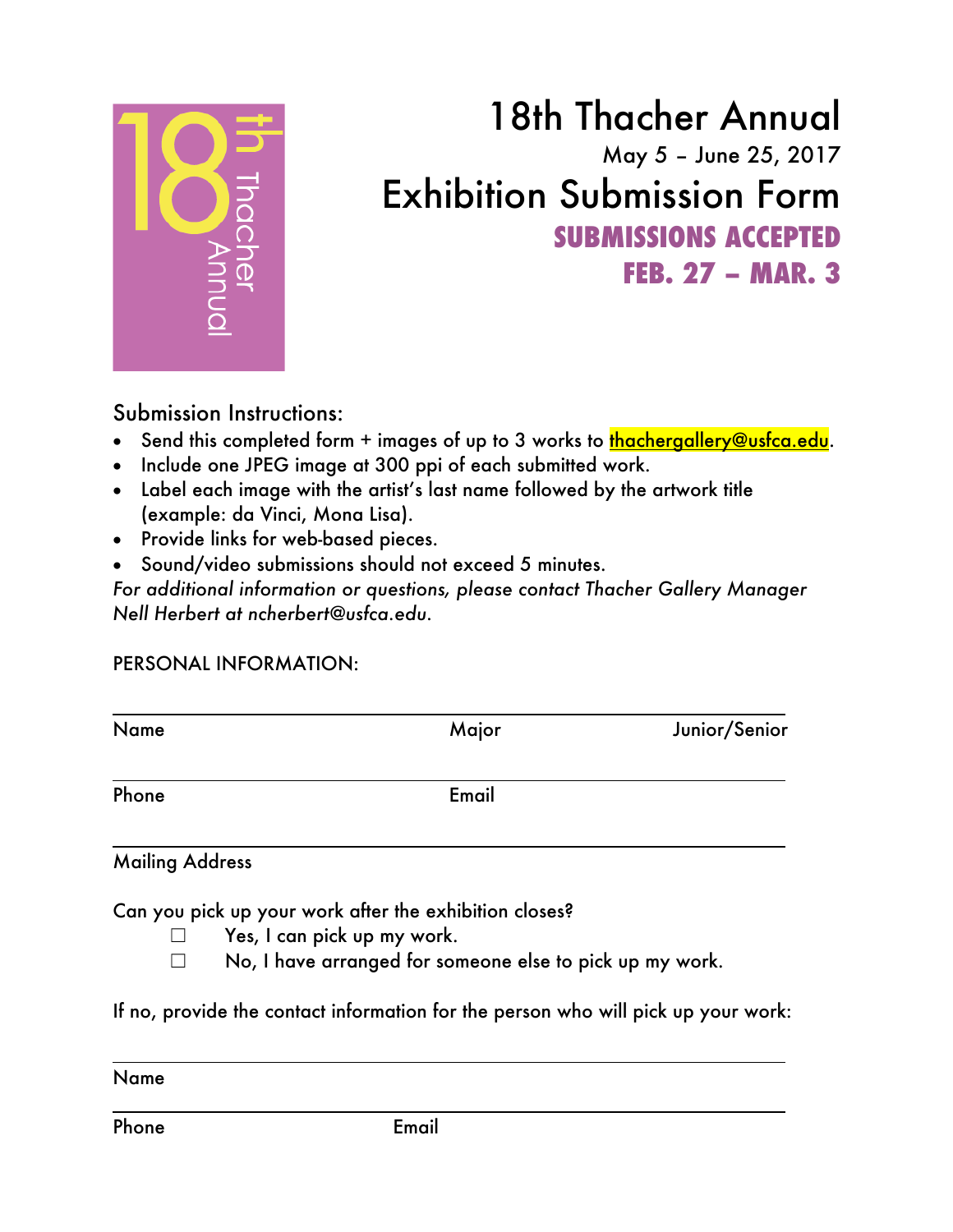

## 18th Thacher Annual May 5 – June 25, 2017 Exhibition Submission Form **SUBMISSIONS ACCEPTED FEB. 27 – MAR. 3**

## Submission Instructions:

- Send this completed form + images of up to 3 works to thachergallery@usfca.edu.
- Include one JPEG image at 300 ppi of each submitted work.
- Label each image with the artist's last name followed by the artwork title (example: da Vinci, Mona Lisa).
- Provide links for web-based pieces.
- Sound/video submissions should not exceed 5 minutes.

*For additional information or questions, please contact Thacher Gallery Manager Nell Herbert at ncherbert@usfca.edu.*

## PERSONAL INFORMATION:

| Name                   | Major | Junior/Senior |
|------------------------|-------|---------------|
| Phone                  | Email |               |
| <b>Mailing Address</b> |       |               |

Can you pick up your work after the exhibition closes?

- $\Box$  Yes, I can pick up my work.
- ☐ No, I have arranged for someone else to pick up my work.

If no, provide the contact information for the person who will pick up your work:

Name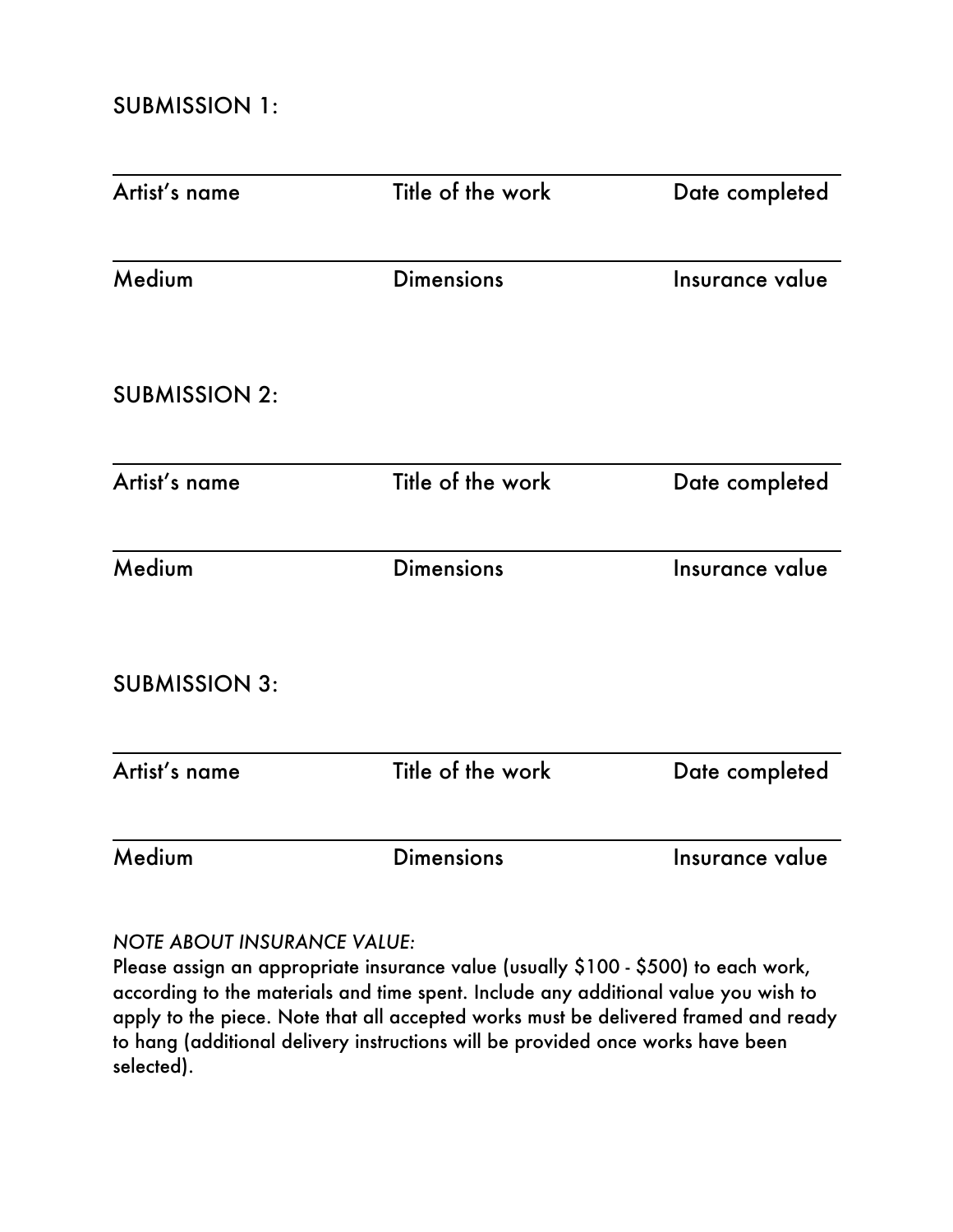| Artist's name        | Title of the work | Date completed  |
|----------------------|-------------------|-----------------|
| Medium               | <b>Dimensions</b> | Insurance value |
| <b>SUBMISSION 2:</b> |                   |                 |
| Artist's name        | Title of the work | Date completed  |
| Medium               | <b>Dimensions</b> | Insurance value |
| <b>SUBMISSION 3:</b> |                   |                 |
| Artist's name        | Title of the work | Date completed  |
| Medium               | <b>Dimensions</b> | Insurance value |

## *NOTE ABOUT INSURANCE VALUE:*

Please assign an appropriate insurance value (usually \$100 - \$500) to each work, according to the materials and time spent. Include any additional value you wish to apply to the piece. Note that all accepted works must be delivered framed and ready to hang (additional delivery instructions will be provided once works have been selected).